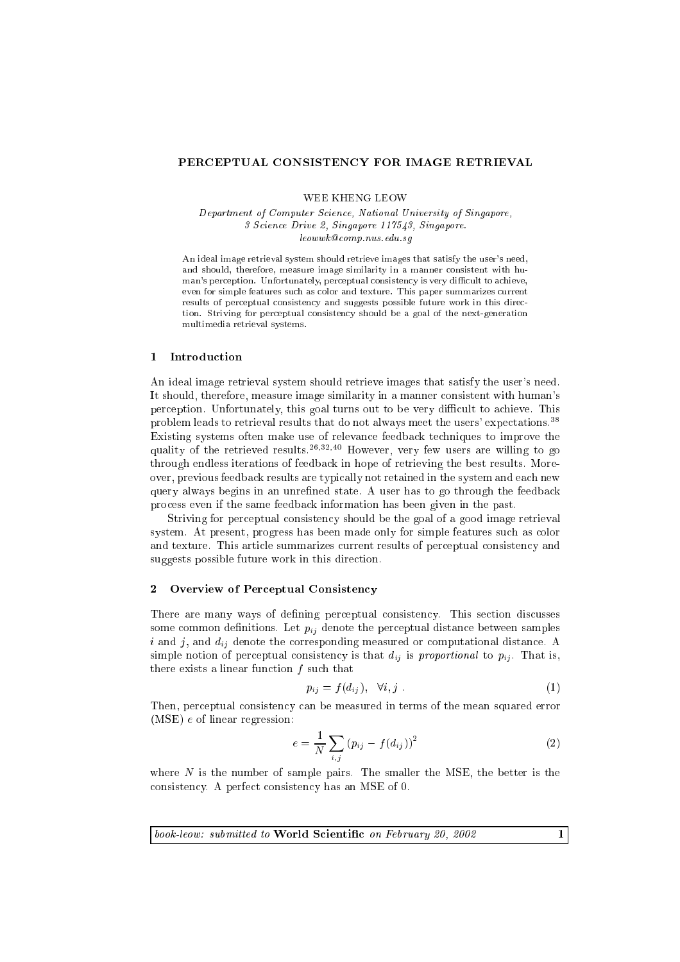### PERCEPTUAL CONSISTENCY FOR IMAGE RETRIEVAL

WEE KHENG LEOW

e, in the state of Computer Sections I are the Charles Computer Singapore, and the Singapore, 3 S
ien
e Drive 2, Singapore 117543, Singapore. leowwk
omp.nus.edu.sg

An ideal image retrieval system should retrieve images that satisfy the user's need, and should, therefore, measure image similarity in a manner consistent with human's perception. Unfortunately, perceptual consistency is very difficult to achieve, even for simple features such as color and texture. This paper summarizes current results of perceptual consistency and suggests possible future work in this direction. Striving for per
eptual onsisten
y should be a goal of the next-generation multimedia retrieval systems.

# 1 Introduction

An ideal image retrieval system should retrieve images that satisfy the user's need. It should, therefore, measure image similarity in a manner onsistent with human's perception. Unfortunately, this goal turns out to be very difficult to achieve. This problem leads to retrieval results that do not always meet the users' expectations.<sup>38</sup> Existing systems often make use of relevan
e feedba
k te
hniques to improve the quality of the retrieved results.<sup>26,32,40</sup> However, very few users are willing to go through endless iterations of feedba
k in hope of retrieving the best results. Moreover, previous feedba
k results are typi
ally not retained in the system and ea
h new query always begins in an unrefined state. A user has to go through the feedback pro
ess even if the same feedba
k information has been given in the past.

Striving for per
eptual onsisten
y should be the goal of a good image retrieval system. At present, progress has been made only for simple features such as color and texture. This article summarizes current results of perceptual consistency and suggests possible future work in this direction.

#### $\mathcal{D}$ Overview of Perceptual Consistency

There are many ways of defining perceptual consistency. This section discusses some common definitions. Let  $p_{ij}$  denote the perceptual distance between samples i and j, and dij denote the orresponding measured or omputational distan
e. <sup>A</sup> simple notion of perceptual consistency is that  $d_{ij}$  is proportional to  $p_{ij}$ . That is, there exists a linear function  $f$  such that

$$
p_{ij} = f(d_{ij}), \quad \forall i, j \tag{1}
$$

Then, perceptual consistency can be measured in terms of the mean squared error (MSE) <sup>e</sup> of linear regression:

$$
e = \frac{1}{N} \sum_{i,j} (p_{ij} - f(d_{ij}))^{2}
$$
 (2)

where  $N$  is the number of sample pairs. The smaller the MSE, the better is the consistency. A perfect consistency has an MSE of 0.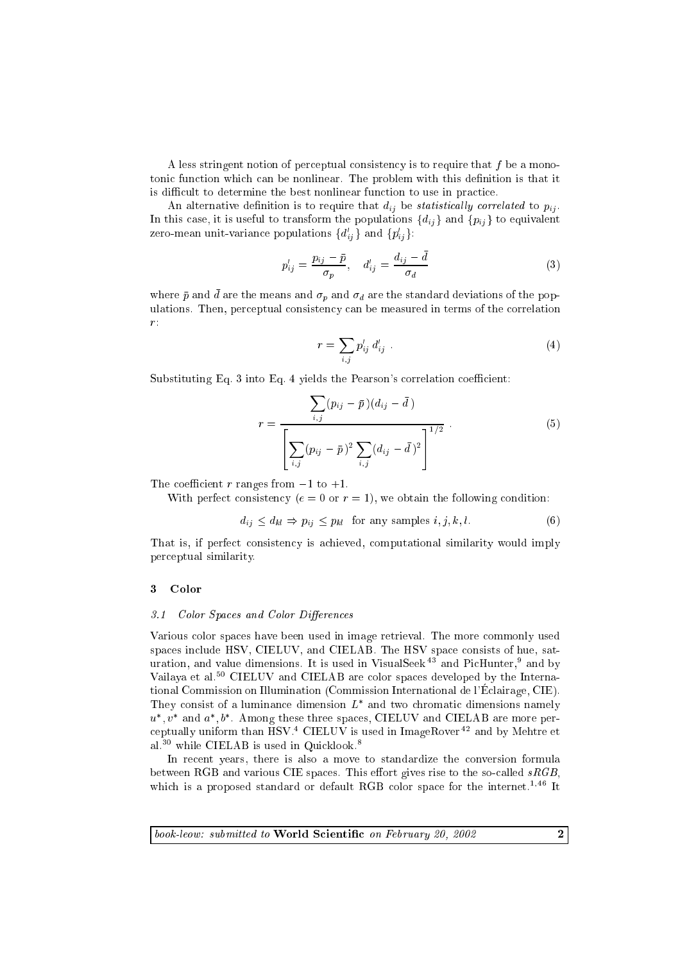A less stringent notion of perceptual consistency is to require that  $f$  be a monotonic function which can be nonlinear. The problem with this definition is that it is difficult to determine the best nonlinear function to use in practice.

An alternative definition is to require that  $d_{ij}$  be *statistically correlated* to  $p_{ij}$ . In this case, it is useful to transform the populations  $\{d_{ij}\}\$  and  $\{p_{ij}\}\$ to equivalent zero-mean unit-variance populations  $\{a_{ij}\}\$ and  $\{p_{ij}\}\$ :

$$
p'_{ij} = \frac{p_{ij} - \bar{p}}{\sigma_p}, \quad d'_{ij} = \frac{d_{ij} - \bar{d}}{\sigma_d} \tag{3}
$$

where  $p$  and  $a$  are the means and  $\sigma_p$  and  $\sigma_d$  are the standard deviations of the populations. Then, perceptual consistency can be measured in terms of the correlation  $r$ :

$$
r = \sum_{i,j} p'_{ij} d'_{ij} \tag{4}
$$

Substituting Eq. 3 into Eq. 4 yields the Pearson's correlation coefficient:

$$
r = \frac{\sum_{i,j} (p_{ij} - \bar{p}) (d_{ij} - \bar{d})}{\left[ \sum_{i,j} (p_{ij} - \bar{p})^2 \sum_{i,j} (d_{ij} - \bar{d})^2 \right]^{1/2}}.
$$
 (5)

The coefficient r ranges from  $-1$  to  $+1$ .

With perfect consistency ( $e = 0$  or  $r = 1$ ), we obtain the following condition:

$$
d_{ij} \le d_{kl} \Rightarrow p_{ij} \le p_{kl} \text{ for any samples } i, j, k, l. \tag{6}
$$

That is, if perfect consistency is achieved, computational similarity would imply per
eptual similarity.

#### <sup>3</sup> Color

#### 3.1 Color Spaces and Color Differences

Various olor spa
es have been used in image retrieval. The more ommonly used spaces include HSV, CIELUV, and CIELAB. The HSV space consists of hue, saturation, and value dimensions. It is used in VisualSeek <sup>--</sup> and PicHunter, and by Vailaya et al.<sup>50</sup> CIELUV and CIELAB are color spaces developed by the International Commission on Illumination (Commission International de l'E
lairage, CIE). I ney consist of a fuminance dimension  $L$  and two chromatic dimensions namely  $u$ ,  $v$  and  $a$ ,  $o$  . Among these three spaces, CIELUV and CIELAD are more pereptually uniform than HSV.4 CIELUV is used in ImageRover <sup>42</sup> and by Mehtre et al.<sup>30</sup> while CIELAB is used in Quicklook.<sup>8</sup>

In recent years, there is also a move to standardize the conversion formula between RGB and various CIE spaces. This effort gives rise to the so-called  $sRGB$ . which is a proposed standard or default RGB color space for the internet.<sup>1,46</sup> It

 $\overline{book\text{-}low:}$  submitted to World Scientific on February 20, 2002 2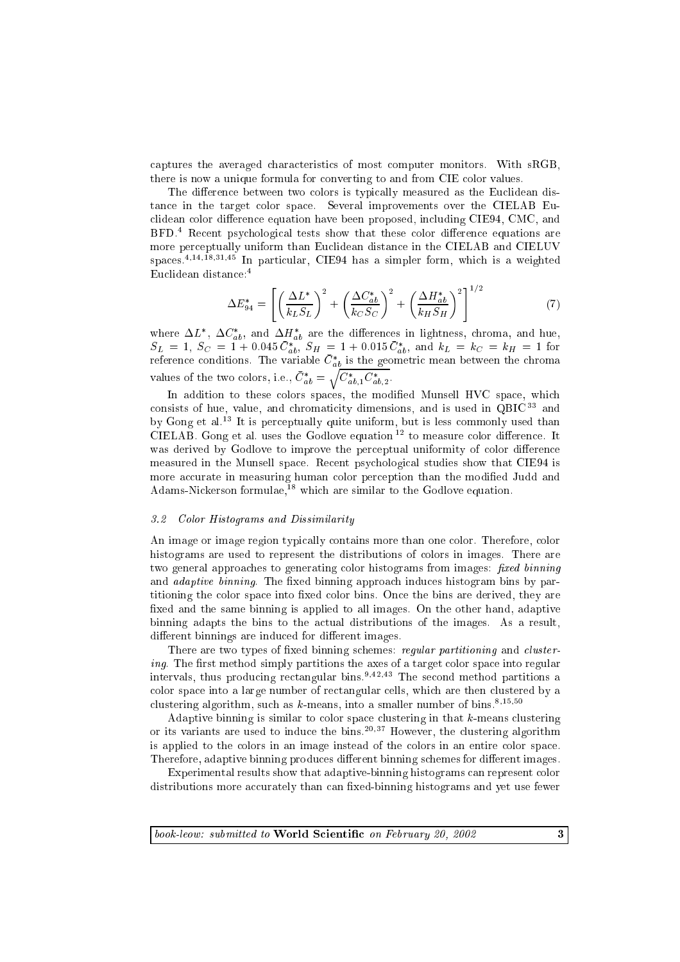captures the averaged characteristics of most computer monitors. With sRGB, there is now a unique formula for converting to and from CIE color values.

The difference between two colors is typically measured as the Euclidean distan
e in the target olor spa
e. Several improvements over the CIELAB Eu clidean color difference equation have been proposed, including CIE94, CMC, and BFD.<sup>4</sup> Recent psychological tests show that these color difference equations are more perspectual uniform than European distances in the city of the CIELAB and CIELAB and spa
es.4;14;18;31;45 In parti
ular, CIE94 has a simpler form, whi
h is a weighted Eu
lidean distan
e:4

$$
\Delta E_{94}^* = \left[ \left( \frac{\Delta L^*}{k_L S_L} \right)^2 + \left( \frac{\Delta C_{ab}^*}{k_C S_C} \right)^2 + \left( \frac{\Delta H_{ab}^*}{k_H S_H} \right)^2 \right]^{1/2} \tag{7}
$$

where  $\Delta L$ ,  $\Delta C_{ab}$ , and  $\Delta H_{ab}$  are the differences in lightness, chroma, and hue,  $SL = 1$ ,  $SC = 1 + 0.043 C_{ab}$ ,  $SH = 1 + 0.013 C_{ab}$ , and  $KL = KC = kH = 1$  for reference conditions. The variable  $C_{ab}$  is the geometric mean between the chroma values of the two colors, i.e.,  $\cup_{ab} =$  $\sqrt{C_{ab,1}^* C_{ab,2}^*}.$ 

In addition to these colors spaces, the modified Munsell HVC space, which consists of hue, value, and chromaticity dimensions, and is used in QBIC<sup>33</sup> and by Gong et al.<sup>13</sup> It is perceptually quite uniform, but is less commonly used than CIELAB. Gong et al. uses the Godlove equation  $12$  to measure color difference. It was derived by Godlove to improve the perceptual uniformity of color difference measured in the Munsell spa
e. Re
ent psy
hologi
al studies show that CIE94 is more accurate in measuring human color perception than the modified Judd and Adams-Nickerson formulae,<sup>18</sup> which are similar to the Godlove equation.

# 3.2 Color Histograms and Dissimilarity

An image or image region typically contains more than one color. Therefore, color histograms are used to represent the distributions of olors in images. There are two general approaches to generating color histograms from images: *fixed binning* and *adaptive binning*. The fixed binning approach induces histogram bins by partitioning the color space into fixed color bins. Once the bins are derived, they are fixed and the same binning is applied to all images. On the other hand, adaptive binning adapts the bins to the a
tual distributions of the images. As a result, different binnings are induced for different images.

There are two types of fixed binning schemes: regular partitioning and clustering. The first method simply partitions the axes of a target color space into regular intervals, thus producing rectangular bins.<sup>9,42,43</sup> The second method partitions a color space into a large number of rectangular cells, which are then clustered by a clustering algorithm, such as  $k$ -means, into a smaller number of bins.<sup>8,15,50</sup>

Adaptive binning is similar to color space clustering in that  $k$ -means clustering or its variants are used to induce the bins.<sup>20,37</sup> However, the clustering algorithm is applied to the olors in an image instead of the olors in an entire olor spa
e. Therefore, adaptive binning produces different binning schemes for different images.

Experimental results show that adaptive-binning histograms can represent color distributions more accurately than can fixed-binning histograms and yet use fewer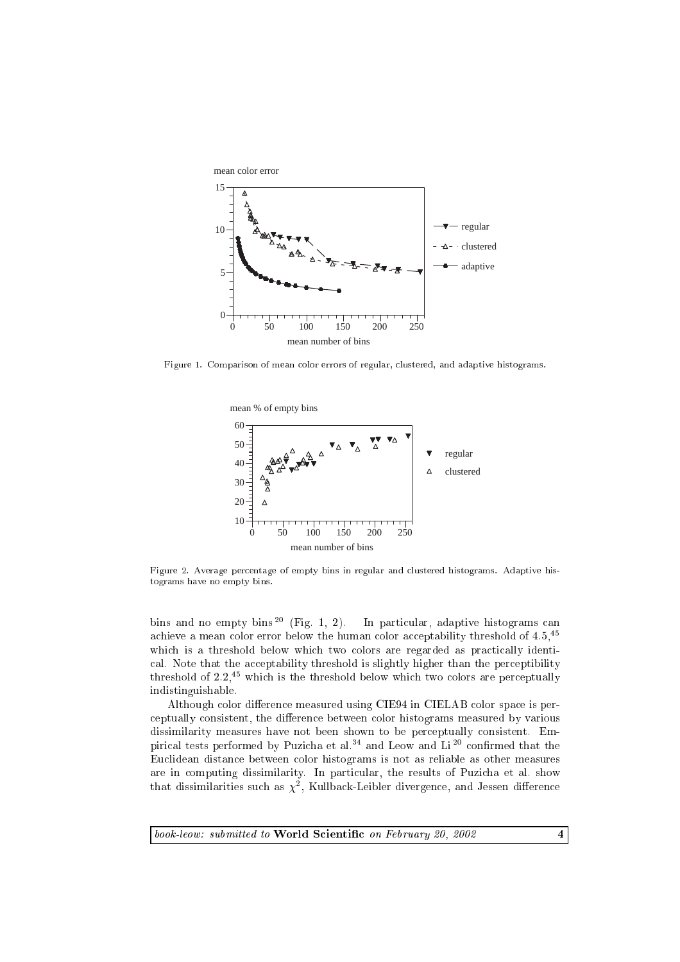

Figure 1. Comparison of mean olor errors of regular, lustered, and adaptive histograms.



Figure 2. Average percentage of empty bins in regular and clustered histograms. Adaptive histograms have no empty bins.

bins and no empty bins<sup>20</sup> (Fig. 1, 2). In particular, adaptive histograms can achieve a mean color error below the human color acceptability threshold of 4.5,<sup>45</sup> which is a threshold below which two colors are regarded as practically identical. Note that the acceptability threshold is slightly higher than the perceptibility threshold of  $2.2<sup>{45}</sup>$  which is the threshold below which two colors are perceptually indistinguishable.

Although color difference measured using CIE94 in CIELAB color space is perceptually consistent, the difference between color histograms measured by various dissimilarity measures have not been shown to be perceptually consistent. Empirical tests performed by Puzicha et al.<sup>34</sup> and Leow and Li<sup>20</sup> confirmed that the Eu
lidean distan
e between olor histograms is not as reliable as other measures are in omputing dissimilarity. In parti
ular, the results of Puzi
ha et al. show  $t$ hat dissimilarities such as  $\chi$ -, Kullback-Leibler divergence, and Jessen difference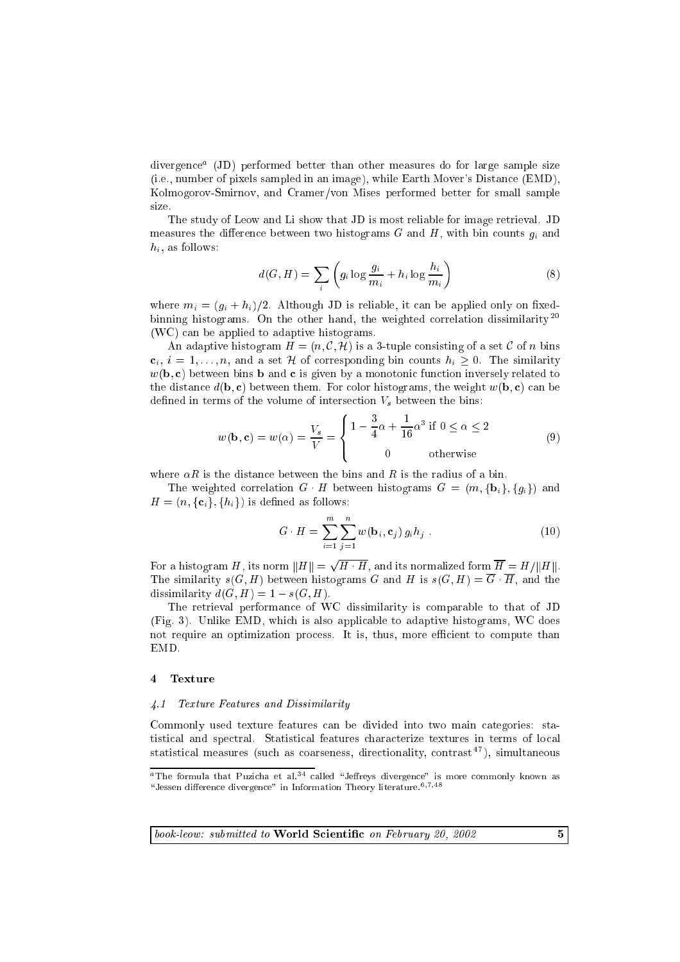divergen
ea (JD) performed better than other measures do for large sample size (i.e., number of pixels sampled in an image), while Earth Mover's Distan
e (EMD), Kolmogorov-Smirnov, and Cramer/von Mises performed better for small sample size.

The study of Leow and Li show that JD is most reliable for image retrieval. JD measures the difference between two histograms  $G$  and  $H$ , with bin counts  $q_i$  and  $h_i$ , as follows:

$$
d(G, H) = \sum_{i} \left( g_i \log \frac{g_i}{m_i} + h_i \log \frac{h_i}{m_i} \right) \tag{8}
$$

where  $m_i = (g_i + h_i)/2$ . Although JD is reliable, it can be applied only on fixedbinning histograms. On the other hand, the weighted correlation dissimilarity<sup>20</sup> (WC) an be applied to adaptive histograms.

An adaptive histogram  $H = (n, \mathcal{C}, \mathcal{H})$  is a 3-tuple consisting of a set  $\mathcal C$  of n bins  $c_i, i = 1, \ldots, n$ , and a set H of corresponding bin counts  $h_i \geq 0$ . The similarity  $w(\mathbf{b}, \mathbf{c})$  between bins **b** and **c** is given by a monotonic function inversely related to the distance  $d(\mathbf{b}, \mathbf{c})$  between them. For color histograms, the weight  $w(\mathbf{b}, \mathbf{c})$  can be defined in terms of the volume of intersection  $V_s$  between the bins:

$$
w(\mathbf{b}, \mathbf{c}) = w(\alpha) = \frac{V_s}{V} = \begin{cases} 1 - \frac{3}{4}\alpha + \frac{1}{16}\alpha^3 & \text{if } 0 \le \alpha \le 2\\ 0 & \text{otherwise} \end{cases}
$$
(9)

where  $\alpha R$  is the distance between the bins and R is the radius of a bin.

The weighted correlation  $G \cdot H$  between histograms  $G = (m, {\bf{b}}_i, {\bf{g}}_i)$  and H = (n; f
ig; fhig) is dened as follows:

$$
G \cdot H = \sum_{i=1}^{m} \sum_{j=1}^{n} w(\mathbf{b}_i, \mathbf{c}_j) g_i h_j . \qquad (10)
$$

For <sup>a</sup> histogram H, its norm kHk = p H H, and its normalized form <sup>H</sup> = H=kHk. The similarity  $s(G, H)$  between histograms G and H is  $s(G, H) = \overline{G} \cdot \overline{H}$ , and the dissimilarity  $d(G, H) = 1 - s(G, H)$ .

The retrieval performan
e of WC dissimilarity is omparable to that of JD (Fig. 3). Unlike EMD, whi
h is also appli
able to adaptive histograms, WC does not require an optimization process. It is, thus, more efficient to compute than EMD.

#### **Texture**  $\overline{4}$

## 4.1 Texture Features and Dissimilarity

Commonly used texture features can be divided into two main categories: statistical and spectral. Statistical features characterize textures in terms of local statistical measures (such as coarseness, directionality, contrast<sup>47</sup>), simultaneous

 $a$ <sup>a</sup> The formula that Puzicha et al.<sup>34</sup> called "Jeffreys divergence" is more commonly known as "Jessen difference divergence" in Information Theory literature.<sup>6,7,48</sup>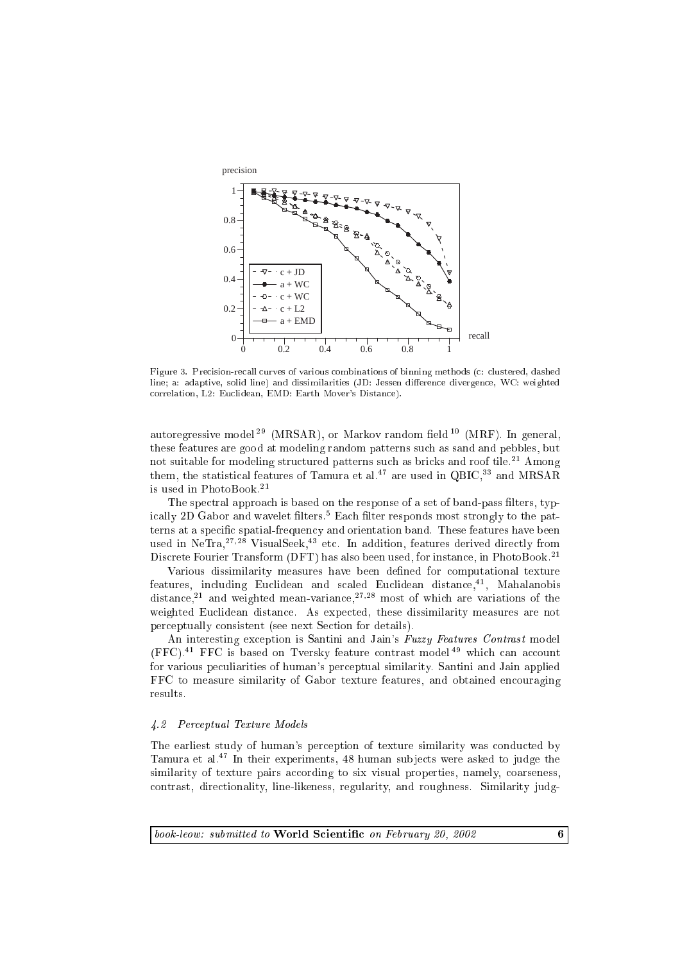

Figure 3. Precision-recall curves of various combinations of binning methods (c: clustered, dashed line; a: adaptive, solid line) and dissimilarities (JD: Jessen difference divergence, WC: weighted orrelation, L2: Eu
lidean, EMD: Earth Mover's Distan
e).

autoregressive model<sup>29</sup> (MRSAR), or Markov random field  $^{10}$  (MRF). In general, these features are good at modeling random patterns su
h as sand and pebbles, but not suitable for modeling structured patterns such as bricks and roof tile.<sup>21</sup> Among them, the statistical features of Tamura et al.<sup>47</sup> are used in QBIC,<sup>33</sup> and MRSAR is used in PhotoBook.21

The spectral approach is based on the response of a set of band-pass filters, typically 2D Gabor and wavelet inters." Each inter responds most strongly to the patterns at a specific spatial-frequency and orientation band. These features have been used in  $NeTra<sub>1</sub><sup>27,28</sup> VisualSeek<sub>1</sub><sup>43</sup> etc. In addition, features derived directly from$ Discrete Fourier Transform (DFT) has also been used, for instance, in PhotoBook.<sup>21</sup>

Various dissimilarity measures have been defined for computational texture reatures, including Euchdean and scaled Euchdean distance, , Mahalanobis distance." and weighted mean-variance."?" most of which are variations of the weighted Eu
lidean distan
e. As expe
ted, these dissimilarity measures are not per
eptually onsistent (see next Se
tion for details).

An interesting exception is Santini and Jain's Fuzzy Features Contrast model (FFC).<sup>41</sup> FFC is based on Tversky feature contrast model<sup>49</sup> which can account for various peculiarities of human's perceptual similarity. Santini and Jain applied FFC to measure similarity of Gabor texture features, and obtained encouraging results.

### 4.2 Per
eptual Texture Models

The earliest study of human's perception of texture similarity was conducted by Tamura et al.<sup>47</sup> In their experiments, 48 human subjects were asked to judge the similarity of texture pairs according to six visual properties, namely, coarseness, ontrast, dire
tionality, line-likeness, regularity, and roughness. Similarity judg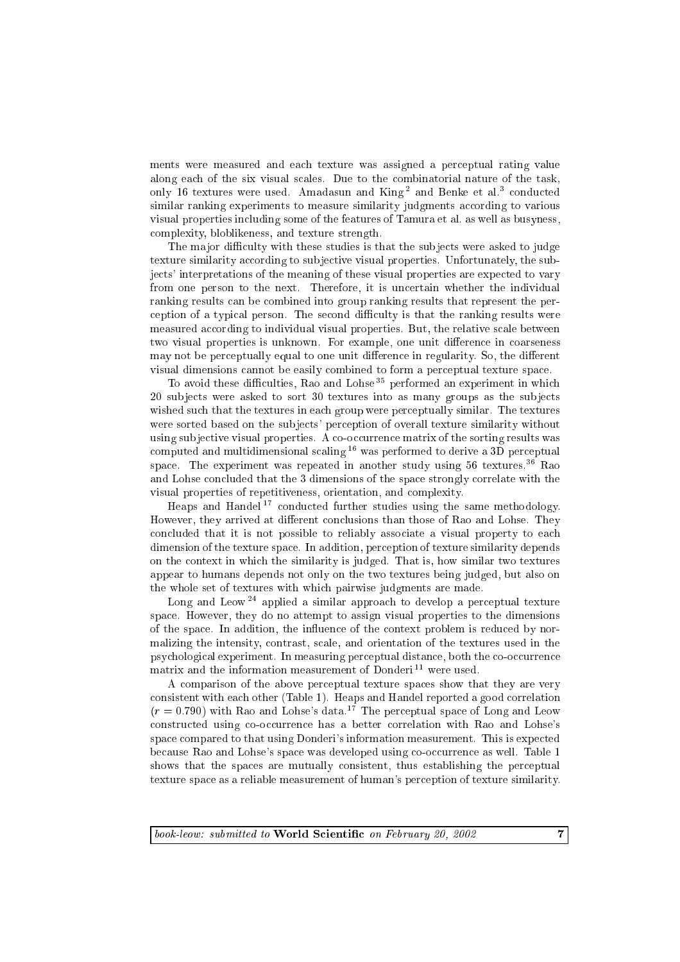ments were measured and ea
h texture was assigned a per
eptual rating value along each of the six visual scales. Due to the combinatorial nature of the task, only to textures were used. Amadasun and King and Benke et al. conducted similar ranking experiments to measure similarity judgments according to various visual properties in
luding some of the features of Tamura et al. as well as busyness, omplexity, bloblikeness, and texture strength.

The major difficulty with these studies is that the subjects were asked to judge texture similarity according to subjective visual properties. Unfortunately, the subje
ts' interpretations of the meaning of these visual properties are expe
ted to vary from one person to the next. Therefore, it is un
ertain whether the individual ranking results an be ombined into group ranking results that represent the per ception of a typical person. The second difficulty is that the ranking results were measured according to individual visual properties. But, the relative scale between two visual properties is unknown. For example, one unit difference in coarseness may not be perceptually equal to one unit difference in regularity. So, the different visual dimensions annot be easily ombined to form a per
eptual texture spa
e.

To avoid these difficulties, Rao and Lohse<sup>35</sup> performed an experiment in which 20 subjects were asked to sort 30 textures into as many groups as the subjects wished such that the textures in each group were perceptually similar. The textures were sorted based on the subjects' perception of overall texture similarity without using subjective visual properties. A co-occurrence matrix of the sorting results was computed and multidimensional scaling  $16$  was performed to derive a 3D perceptual space. The experiment was repeated in another study using  $56$  textures.<sup>36</sup> Rao and Lohse on
luded that the 3 dimensions of the spa
e strongly orrelate with the visual properties of repetitiveness, orientation, and omplexity.

Heaps and Handel<sup>17</sup> conducted further studies using the same methodology. However, they arrived at different conclusions than those of Rao and Lohse. They concluded that it is not possible to reliably associate a visual property to each dimension of the texture spa
e. In addition, per
eption of texture similarity depends on the ontext in whi
h the similarity is judged. That is, how similar two textures appear to humans depends not only on the two textures being judged, but also on the whole set of textures with whi
h pairwise judgments are made.

Long and Leow<sup>24</sup> applied a similar approach to develop a perceptual texture spa
e. However, they do no attempt to assign visual properties to the dimensions of the spa
e. In addition, the in
uen
e of the ontext problem is redu
ed by normalizing the intensity, ontrast, s
ale, and orientation of the textures used in the psychological experiment. In measuring perceptual distance, both the co-occurrence matrix and the information measurement of Donderi<sup>11</sup> were used.

A omparison of the above per
eptual texture spa
es show that they are very onsistent with ea
h other (Table 1). Heaps and Handel reported a good orrelation  $(r = 0.790)$  with Rao and Lohse's data.<sup>17</sup> The perceptual space of Long and Leow constructed using co-occurrence has a better correlation with Rao and Lohse's spa
e ompared to that using Donderi's information measurement. This is expe
ted be
ause Rao and Lohse's spa
e was developed using o-o

urren
e as well. Table 1 shows that the spaces are mutually consistent, thus establishing the perceptual texture spa
e as a reliable measurement of human's per
eption of texture similarity.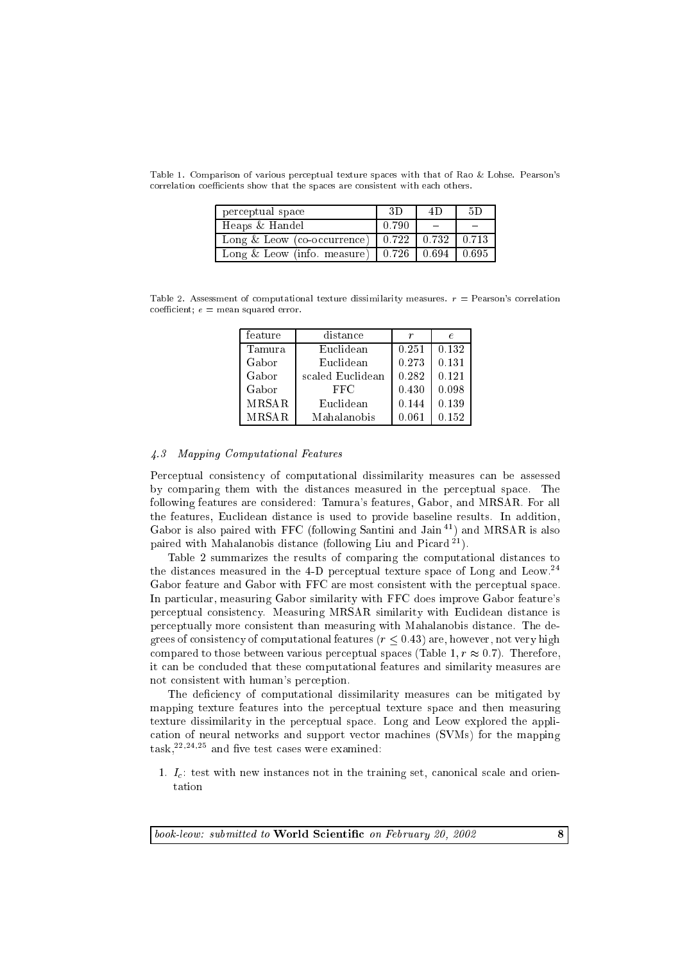| perceptual space                                    | 3D    |                             | 5D |
|-----------------------------------------------------|-------|-----------------------------|----|
| Heaps & Handel                                      | 0.790 |                             |    |
| Long & Leow (co-occurrence) $\vert$                 |       | $0.722$   $0.732$   $0.713$ |    |
| Long & Leow (info. measure)   0.726   0.694   0.695 |       |                             |    |

Table 1. Comparison of various per
eptual texture spa
es with that of Rao & Lohse. Pearson's correlation coefficients show that the spaces are consistent with each others.

Table 2. Assessment of computational texture dissimilarity measures.  $r =$  Pearson's correlation  $coefficient; e = mean squared error.$ 

| distance         | r     | e     |  |
|------------------|-------|-------|--|
| Euclidean        | 0.251 | 0.132 |  |
| Euclidean        | 0.273 | 0.131 |  |
| scaled Euclidean | 0.282 | 0.121 |  |
| FFC              | 0.430 | 0.098 |  |
| Euclidean        | 0.144 | 0.139 |  |
| Mahalanobis      | 0.061 | 0.152 |  |
|                  |       |       |  |

### 4.3 Mapping Computational Features

Perceptual consistency of computational dissimilarity measures can be assessed by omparing them with the distan
es measured in the per
eptual spa
e. The following features are onsidered: Tamura's features, Gabor, and MRSAR. For all the features, Eu
lidean distan
e is used to provide baseline results. In addition, Gabor is also paired with FFC (following Santini and Jain 41) and MRSAR is also paired with Mahalanobis distance (following Liu and Picard<sup>21</sup>).

Table 2 summarizes the results of omparing the omputational distan
es to the distances measured in the 4-D perceptual texture space of Long and Leow.<sup>24</sup> Gabor feature and Gabor with FFC are most consistent with the perceptual space. In parti
ular, measuring Gabor similarity with FFC does improve Gabor feature's per
eptual onsisten
y. Measuring MRSAR similarity with Eu
lidean distan
e is per
eptually more onsistent than measuring with Mahalanobis distan
e. The degrees of consistency of computational features ( $r \leq 0.43$ ) are, however, not very high compared to those between various perceptual spaces (Table 1,  $r \approx 0.7$ ). Therefore, it an be on
luded that these omputational features and similarity measures are not onsistent with human's per
eption.

The deficiency of computational dissimilarity measures can be mitigated by mapping texture features into the per
eptual texture spa
e and then measuring texture dissimilarity in the per
eptual spa
e. Long and Leow explored the appli ation of neural networks and support ve
tor ma
hines (SVMs) for the mapping  $\text{task.}^{22,24,25}$  and five test cases were examined:

1.  $I<sub>c</sub>$ : test with new instances not in the training set, canonical scale and orientation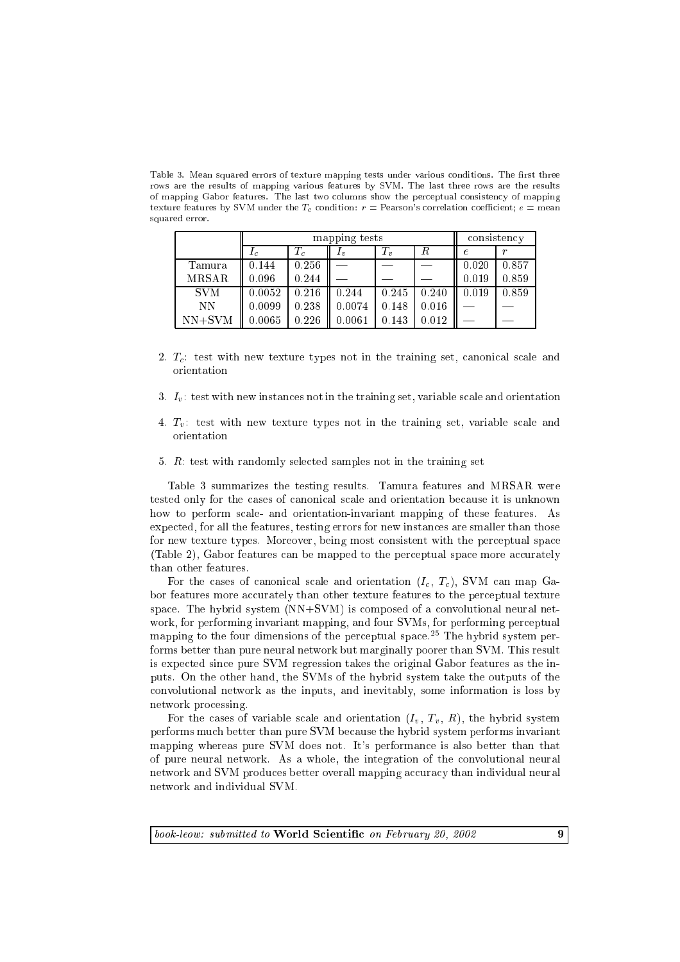Table 3. Mean squared errors of texture mapping tests under various conditions. The first three rows are the results of mapping various features by SVM. The last three rows are the results of mapping Gabor features. The last two columns show the perceptual consistency of mapping texture features by SVM under the  $T_c$  condition:  $r =$  Pearson's correlation coefficient;  $e =$  mean squared error.

|              | mapping tests  |       |            |       | consistency |       |       |
|--------------|----------------|-------|------------|-------|-------------|-------|-------|
|              | $\mathbf{r}_c$ |       | $\bm{I}_v$ | $T_v$ | R           | P.    |       |
| Tamura       | 0.144          | 0.256 |            |       |             | 0.020 | 0.857 |
| <b>MRSAR</b> | 0.096          | 0.244 |            |       |             | 0.019 | 0.859 |
| <b>SVM</b>   | 0.0052         | 0.216 | 0.244      | 0.245 | 0.240       | 0.019 | 0.859 |
| NΝ           | 0.0099         | 0.238 | 0.0074     | 0.148 | 0.016       |       |       |
| $NN+SVM$     | 0.0065         | 0.226 | 0.0061     | 0.143 | 0.012       |       |       |

- 2.  $T_c$ : test with new texture types not in the training set, canonical scale and orientation
- 3.  $I_v$ : test with new instances not in the training set, variable scale and orientation
- 4.  $T_n$ : test with new texture types not in the training set, variable scale and orientation
- 5. R: test with randomly sele
ted samples not in the training set

Table 3 summarizes the testing results. Tamura features and MRSAR were tested only for the cases of canonical scale and orientation because it is unknown how to perform scale- and orientation-invariant mapping of these features. As expe
ted, for all the features, testing errors for new instan
es are smaller than those for new texture types. Moreover, being most consistent with the perceptual space (Table 2), Gabor features can be mapped to the perceptual space more accurately than other features.

For the cases of canonical scale and orientation  $(I_c, T_c)$ , SVM can map Gabor features more accurately than other texture features to the perceptual texture space. The hybrid system (NN+SVM) is composed of a convolutional neural network, for performing invariant mapping, and four SVMs, for performing per
eptual mapping to the four dimensions of the perceptual space.<sup>25</sup> The hybrid system performs better than pure neural network but marginally poorer than SVM. This result is expe
ted sin
e pure SVM regression takes the original Gabor features as the inputs. On the other hand, the SVMs of the hybrid system take the outputs of the onvolutional network as the inputs, and inevitably, some information is loss by network pro
essing.

For the cases of variable scale and orientation  $(I_v, T_v, R)$ , the hybrid system performs mu
h better than pure SVM be
ause the hybrid system performs invariant mapping whereas pure SVM does not. It's performan
e is also better than that of pure neural network. As a whole, the integration of the onvolutional neural network and SVM produces better overall mapping accuracy than individual neural network and individual SVM.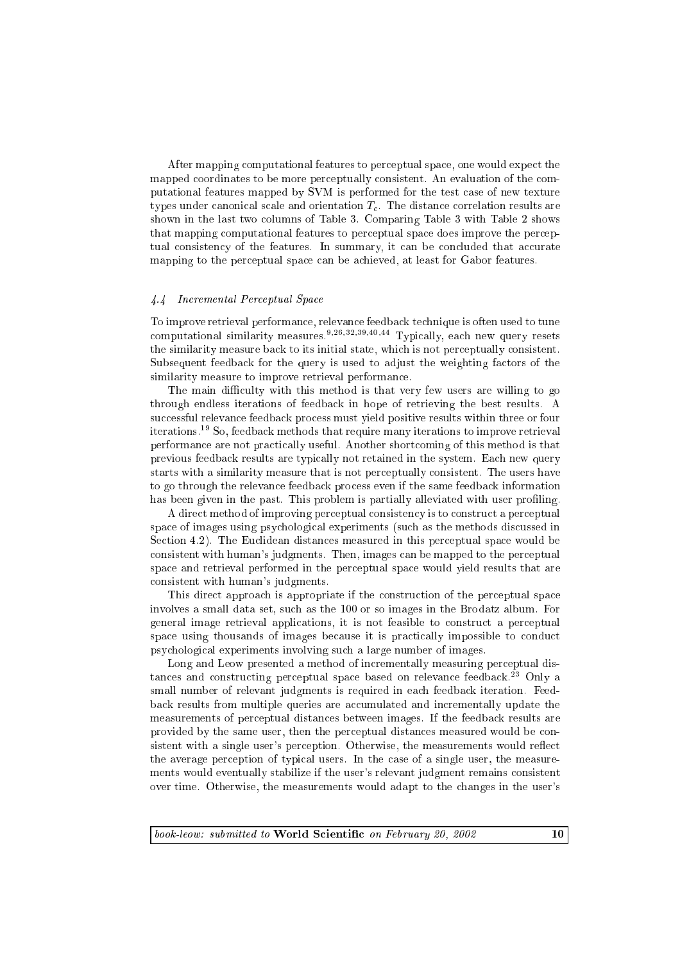After mapping omputational features to per
eptual spa
e, one would expe
t the mapped coordinates to be more perceptually consistent. An evaluation of the computational features mapped by SVM is performed for the test ase of new texture types under canonical scale and orientation  $T_c$ . The distance correlation results are shown in the last two columns of Table 3. Comparing Table 3 with Table 2 shows that mapping omputational features to per
eptual spa
e does improve the per
eptual consistency of the features. In summary, it can be concluded that accurate mapping to the per
eptual spa
e an be a
hieved, at least for Gabor features.

### 4.4 In
remental Per
eptual Spa
e

To improve retrieval performan
e, relevan
e feedba
k te
hnique is often used to tune computational similarity measures.<sup>9,26,32,39,40,44</sup> Typically, each new query resets the similarity measure back to its initial state, which is not perceptually consistent. Subsequent feedback for the query is used to adjust the weighting factors of the similarity measure to improve retrieval performan
e.

The main difficulty with this method is that very few users are willing to go through endless iterations of feedba
k in hope of retrieving the best results. A successful relevance feedback process must yield positive results within three or four iterations.19 So, feedba
k methods that require many iterations to improve retrieval performan
e are not pra
ti
ally useful. Another short
oming of this method is that previous feedba
k results are typi
ally not retained in the system. Ea
h new query starts with a similarity measure that is not per
eptually onsistent. The users have to go through the relevan
e feedba
k pro
ess even if the same feedba
k information has been given in the past. This problem is partially alleviated with user profiling.

A direct method of improving perceptual consistency is to construct a perceptual space of images using psychological experiments (such as the methods discussed in Section 4.2). The Euclidean distances measured in this perceptual space would be onsistent with human's judgments. Then, images an be mapped to the per
eptual spa
e and retrieval performed in the per
eptual spa
e would yield results that are onsistent with human's judgments.

This direct approach is appropriate if the construction of the perceptual space involves a small data set, su
h as the 100 or so images in the Brodatz album. For general image retrieval appli
ations, it is not feasible to onstru
t a per
eptual space using thousands of images because it is practically impossible to conduct psy
hologi
al experiments involving su
h a large number of images.

Long and Leow presented a method of incrementally measuring perceptual distances and constructing perceptual space based on relevance feedback.<sup>23</sup> Only a small number of relevant judgments is required in each feedback iteration. Feedback results from multiple queries are accumulated and incrementally update the measurements of per
eptual distan
es between images. If the feedba
k results are provided by the same user, then the per
eptual distan
es measured would be onsistent with a single user's perception. Otherwise, the measurements would reflect the average per
eption of typi
al users. In the ase of a single user, the measurements would eventually stabilize if the user's relevant judgment remains onsistent over time. Otherwise, the measurements would adapt to the hanges in the user's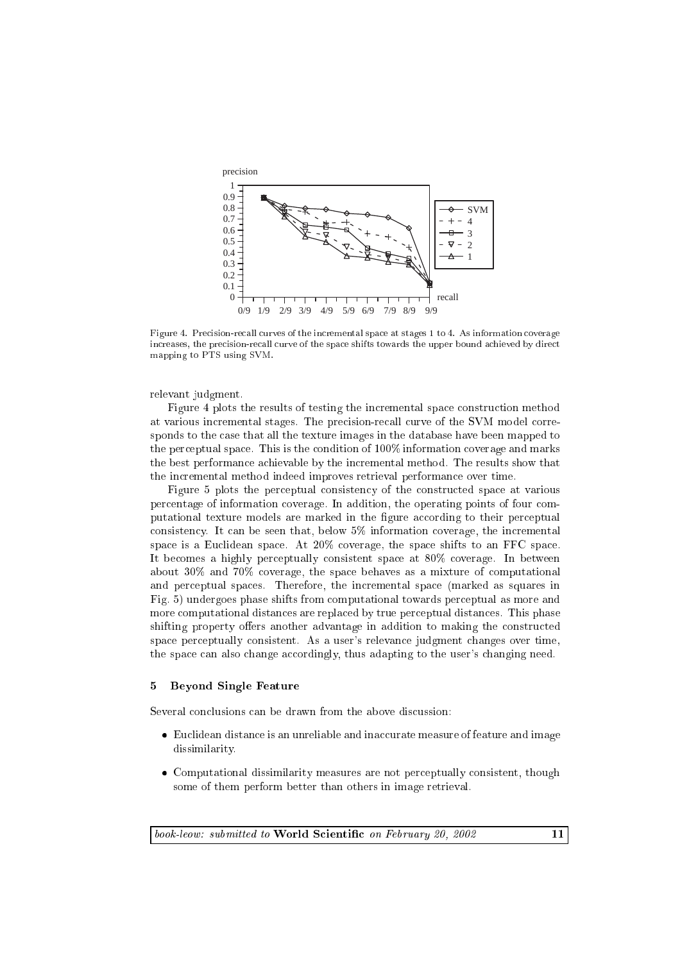

Figure 4. Precision-recall curves of the incremental space at stages 1 to 4. As information coverage increases, the precision-recall curve of the space shifts towards the upper bound achieved by direct mapping to PTS using SVM.

relevant judgment.

Figure 4 plots the results of testing the incremental space construction method at various incremental stages. The precision-recall curve of the SVM model corresponds to the ase that all the texture images in the database have been mapped to the perceptual space. This is the condition of 100% information coverage and marks the best performan
e a
hievable by the in
remental method. The results show that the in
remental method indeed improves retrieval performan
e over time.

Figure 5 plots the per
eptual onsisten
y of the onstru
ted spa
e at various per
entage of information overage. In addition, the operating points of four omputational texture models are marked in the figure according to their perceptual consistency. It can be seen that, below 5% information coverage, the incremental space is a Euclidean space. At 20% coverage, the space shifts to an FFC space. It becomes a highly perceptually consistent space at 80% coverage. In between about 30% and 70% overage, the spa
e behaves as a mixture of omputational and per
eptual spa
es. Therefore, the in
remental spa
e (marked as squares in Fig. 5) undergoes phase shifts from omputational towards per
eptual as more and more computational distances are replaced by true perceptual distances. This phase shifting property offers another advantage in addition to making the constructed spa
e per
eptually onsistent. As a user's relevan
e judgment hanges over time, the space can also change accordingly, thus adapting to the user's changing need.

#### $\overline{5}$ 5 Beyond Single Feature

Several conclusions can be drawn from the above discussion:

- e is an unreliable and in the indicated and inaugure and in a series and in a series are a measure of the dissimilarity.
- Computational dissimilarity measures are not per
eptually onsistent, though some of them perform better than others in image retrieval.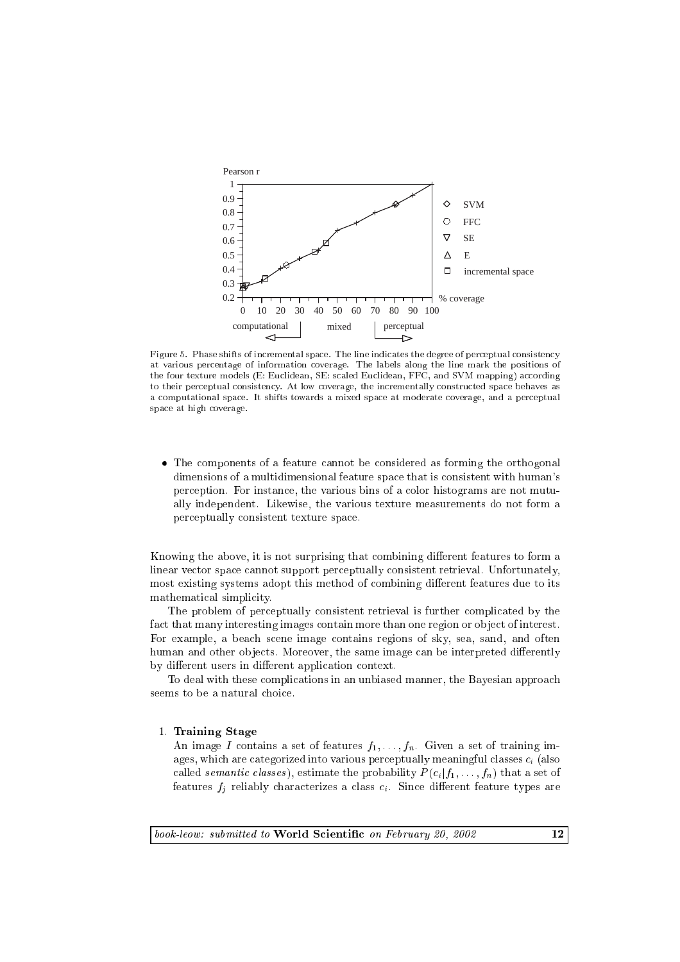

Figure 5. Phase shifts of incremental space. The line indicates the degree of perceptual consistency at various per
entage of information overage. The labels along the line mark the positions of the four texture models (E: Euclidean, SE: scaled Euclidean, FFC, and SVM mapping) according to their perceptual consistency. At low coverage, the incrementally constructed space behaves as a omputational spa
e. It shifts towards a mixed spa
e at moderate overage, and a per
eptual spa
e at high overage.

 The omponents of a feature annot be onsidered as forming the orthogonal dimensions of a multidimensional feature spa
e that is onsistent with human's per
eption. For instan
e, the various bins of a olor histograms are not mutually independent. Likewise, the various texture measurements do not form a per
eptually onsistent texture spa
e.

Knowing the above, it is not surprising that combining different features to form a linear ve
tor spa
e annot support per
eptually onsistent retrieval. Unfortunately, most existing systems adopt this method of combining different features due to its mathematical simplicity.

The problem of per
eptually onsistent retrieval is further ompli
ated by the fact that many interesting images contain more than one region or object of interest. For example, a bea
h s
ene image ontains regions of sky, sea, sand, and often human and other objects. Moreover, the same image can be interpreted differently by different users in different application context.

To deal with these complications in an unbiased manner, the Bayesian approach seems to be a natural choice.

# 1. Training Stage

An image I contains a set of features  $f_1, \ldots, f_n$ . Given a set of training images, which are categorized into various perceptually meaningful classes  $c_i$  (also called *semantic classes*), estimate the probability  $P(c_i|f_1,\ldots,f_n)$  that a set of features  $f_j$  reliably characterizes a class  $c_i$ . Since different feature types are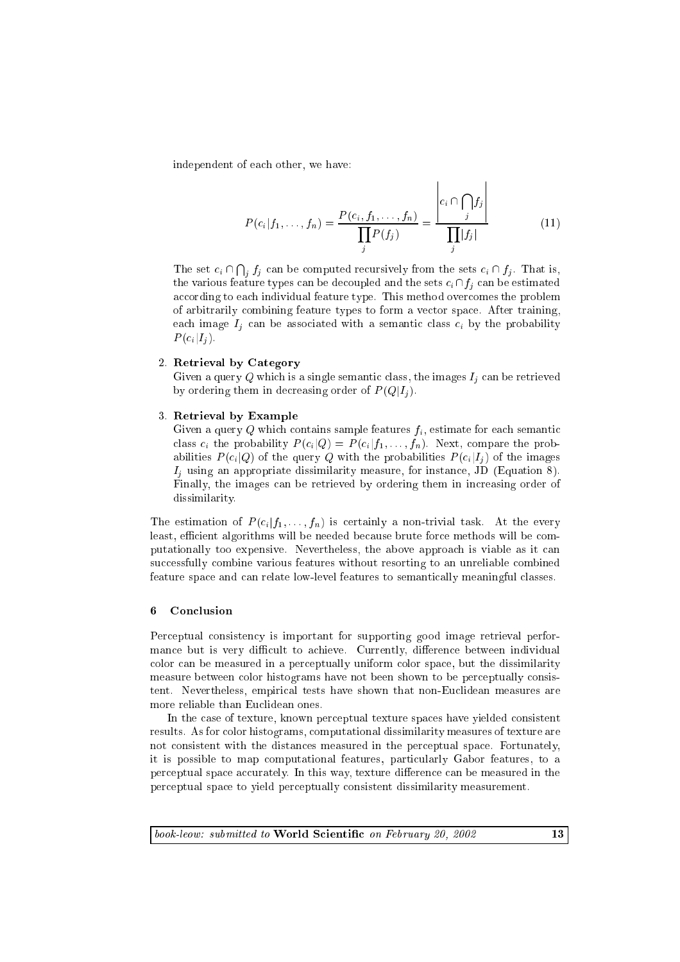independent of ea
h other, we have:

$$
P(c_i|f_1, ..., f_n) = \frac{P(c_i, f_1, ..., f_n)}{\prod_j P(f_j)} = \frac{\left|c_i \cap \bigcap_j f_j\right|}{\prod_j |f_j|}
$$
(11)

- 11

 $\mathbf{r}$ 

The set  $c_i \cap \bigcap_i f_j$  can be computed recursively from the sets  $c_i \cap f_j$ . That is, the various feature types can be decoupled and the sets  $c_i \cap f_j$  can be estimated according to each individual feature type. This method overcomes the problem of arbitrarily ombining feature types to form a ve
tor spa
e. After training, each image  $I_i$  can be associated with a semantic class  $c_i$  by the probability  $i - 1$ 

### 2. Retrieval by Category

Given a query Q which is a single semantic class, the images  $I_j$  can be retrieved by ordering them in decreasing order of  $P(Q|I_i)$ .

### 3. Retrieval by Example

Given a query  $Q$  which contains sample features  $f_i$ , estimate for each semantic class  $c_i$  the probability  $P(c_i|Q) = P(c_i|f_1,\ldots,f_n)$ . Next, compare the probabilities  $P(c_i|Q)$  of the query Q with the probabilities  $P(c_i|I_i)$  of the images  $I_i$  using an appropriate dissimilarity measure, for instance, JD (Equation 8). Finally, the images can be retrieved by ordering them in increasing order of dissimilarity.

The estimation of  $P(c_i|f_1,\ldots,f_n)$  is certainly a non-trivial task. At the every least, efficient algorithms will be needed because brute force methods will be computationally too expensive. Nevertheless, the above approa
h is viable as it an successfully combine various features without resorting to an unreliable combined feature spa
e and an relate low-level features to semanti
ally meaningful lasses.

#### 6 **Conclusion**

Perceptual consistency is important for supporting good image retrieval performance but is very difficult to achieve. Currently, difference between individual color can be measured in a perceptually uniform color space, but the dissimilarity measure between color histograms have not been shown to be perceptually consistent. Nevertheless, empiri
al tests have shown that non-Eu
lidean measures are more reliable than Eu
lidean ones.

In the case of texture, known perceptual texture spaces have yielded consistent results. As for olor histograms, omputational dissimilarity measures of texture are not onsistent with the distan
es measured in the per
eptual spa
e. Fortunately, it is possible to map omputational features, parti
ularly Gabor features, to a perceptual space accurately. In this way, texture difference can be measured in the per
eptual spa
e to yield per
eptually onsistent dissimilarity measurement.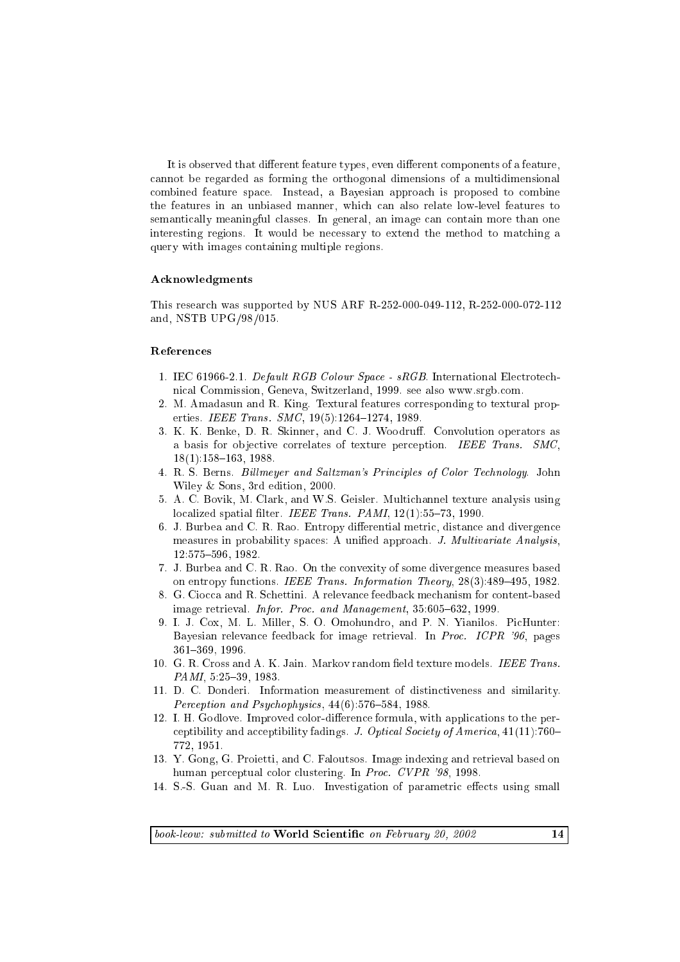It is observed that different feature types, even different components of a feature, annot be regarded as forming the orthogonal dimensions of a multidimensional combined feature space. Instead, a Bayesian approach is proposed to combine the features in an unbiased manner, whi
h an also relate low-level features to semantically meaningful classes. In general, an image can contain more than one interesting regions. It would be necessary to extend the method to matching a query with images ontaining multiple regions.

### A
knowledgments

This resear
h was supported by NUS ARF R-252-000-049-112, R-252-000-072-112 and, NSTB UPG/98/015.

## Referen
es

- 1. IEC 61966-2.1. Default RGB Colour Space sRGB. International Electrotechni
al Commission, Geneva, Switzerland, 1999. see also www.srgb.
om.
- 2. M. Amadasun and R. King. Textural features orresponding to textural properties. IEEE Trans. SMC, 19(5):1264-1274, 1989.
- 3. K. K. Benke, D. R. Skinner, and C. J. Woodruff. Convolution operators as a basis for objective correlates of texture perception. IEEE Trans. SMC,  $18(1):158{-}163, 1988.$
- 4. R. S. Berns. Billmeyer and Saltzman's Principles of Color Technology. John Wiley & Sons, 3rd edition, 2000.
- 5. A. C. Bovik, M. Clark, and W.S. Geisler. Multi
hannel texture analysis using localized spatial filter. IEEE Trans. PAMI, 12(1):55-73, 1990.
- 6. J. Burbea and C. R. Rao. Entropy differential metric, distance and divergence measures in probability spaces: A unified approach. J. Multivariate Analysis, 12:575-596, 1982.
- 7. J. Burbea and C. R. Rao. On the onvexity of some divergen
e measures based on entropy functions. IEEE Trans. Information Theory, 28(3):489-495, 1982.
- 8. G. Ciocca and R. Schettini. A relevance feedback mechanism for content-based image retrieval. *Infor. Proc. and Management*,  $35.605{-}632$ , 1999.
- 9. I. J. Cox, M. L. Miller, S. O. Omohundro, and P. N. Yianilos. PicHunter: Bayesian relevance feedback for image retrieval. In Proc. ICPR '96, pages 361{369, 1996.
- 10. G. R. Cross and A. K. Jain. Markov random field texture models. IEEE Trans. PAMI, 5:25-39, 1983.
- 11. D. C. Donderi. Information measurement of distin
tiveness and similarity. Perception and Psychophysics, 44(6):576-584, 1988.
- 12. I. H. Godlove. Improved color-difference formula, with applications to the perceptibility and acceptibility fadings. J. Optical Society of America, 41(11):760-772, 1951.
- 13. Y. Gong, G. Proietti, and C. Faloutsos. Image indexing and retrieval based on human perceptual color clustering. In Proc. CVPR '98, 1998.
- 14. S.-S. Guan and M. R. Luo. Investigation of parametric effects using small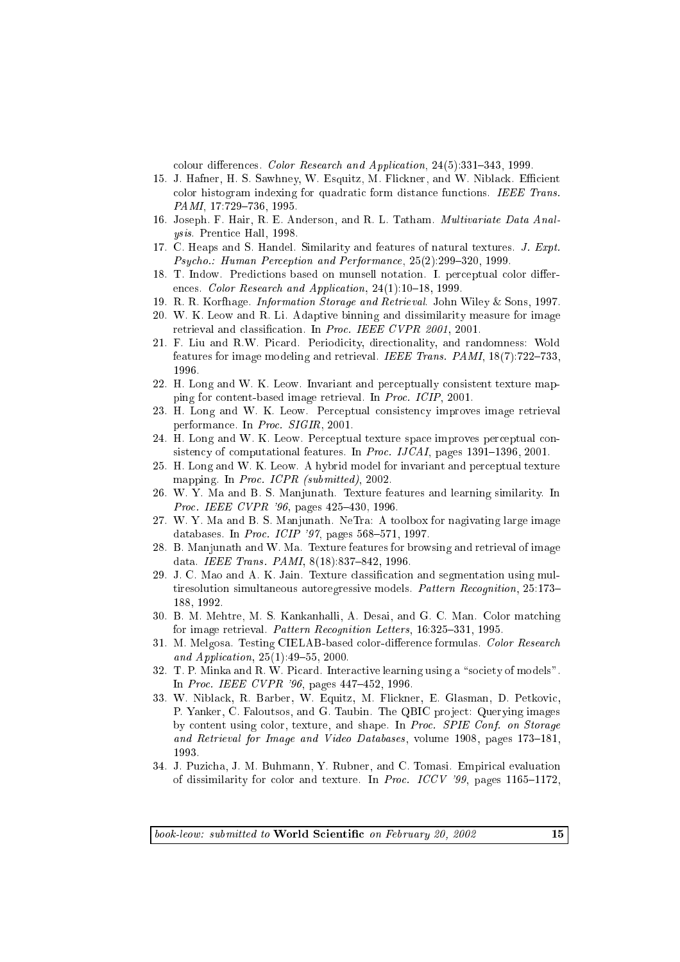colour differences. Color Research and Application, 24(5):331-343, 1999.

- 15. J. Hafner, H. S. Sawhney, W. Esquitz, M. Flickner, and W. Niblack. Efficient color histogram indexing for quadratic form distance functions. IEEE Trans. PAMI, 17:729-736, 1995.
- 16. Joseph. F. Hair, R. E. Anderson, and R. L. Tatham. Multivariate Data Analysis. Prenti
e Hall, 1998.
- 17. C. Heaps and S. Handel. Similarity and features of natural textures. J. Expt. Psycho.: Human Perception and Performance, 25(2):299-320, 1999.
- 18. T. Indow. Predictions based on munsell notation. I. perceptual color differences. Color Research and Application, 24(1):10-18, 1999.
- 19. R. R. Korfhage. Information Storage and Retrieval. John Wiley & Sons, 1997.
- 20. W. K. Leow and R. Li. Adaptive binning and dissimilarity measure for image retrieval and classification. In Proc. IEEE CVPR 2001, 2001.
- 21. F. Liu and R.W. Picard. Periodicity, directionality, and randomness: Wold features for image modeling and retrieval. IEEE Trans. PAMI,  $18(7):722-733$ , 1996.
- 22. H. Long and W. K. Leow. Invariant and per
eptually onsistent texture mapping for ontent-based image retrieval. In Pro
. ICIP, 2001.
- 23. H. Long and W. K. Leow. Perceptual consistency improves image retrieval performan
e. In Pro
. SIGIR, 2001.
- 24. H. Long and W. K. Leow. Per
eptual texture spa
e improves per
eptual onsistency of computational features. In *Proc. IJCAI*, pages  $1391-1396, 2001$ .
- 25. H. Long and W. K. Leow. A hybrid model for invariant and per
eptual texture mapping. In *Proc. ICPR* (submitted), 2002.
- 26. W. Y. Ma and B. S. Manjunath. Texture features and learning similarity. In Proc. IEEE CVPR '96, pages 425-430, 1996.
- 27. W. Y. Ma and B. S. Manjunath. NeTra: A toolbox for nagivating large image databases. In Proc. ICIP '97, pages  $568-571$ , 1997.
- 28. B. Manjunath and W. Ma. Texture features for browsing and retrieval of image data. IEEE Trans. PAMI,  $8(18):837-842$ , 1996.
- 29. J. C. Mao and A. K. Jain. Texture classification and segmentation using multiresolution simultaneous autoregressive models. Pattern Recognition, 25:173– 188, 1992.
- 30. B. M. Mehtre, M. S. Kankanhalli, A. Desai, and G. C. Man. Color mat
hing for image retrieval. Pattern Recognition Letters, 16:325-331, 1995.
- 31. M. Melgosa. Testing CIELAB-based color-difference formulas. Color Research and Application,  $25(1):49-55$ ,  $2000$ .
- 32. T. P. Minka and R. W. Picard. Interactive learning using a "society of models". In *Proc. IEEE CVPR '96*, pages 447-452, 1996.
- 33. W. Niblack, R. Barber, W. Equitz, M. Flickner, E. Glasman, D. Petkovic, P. Yanker, C. Faloutsos, and G. Taubin. The QBIC project: Querying images by content using color, texture, and shape. In Proc. SPIE Conf. on Storage and Retrieval for Image and Video Databases, volume 1908, pages  $173{\text -}181$ , 1993.
- 34. J. Puzicha, J. M. Buhmann, Y. Rubner, and C. Tomasi. Empirical evaluation of dissimilarity for color and texture. In Proc. ICCV '99, pages 1165-1172,